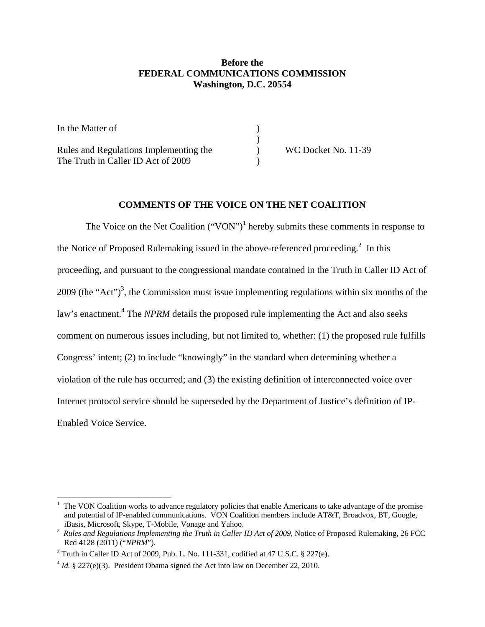### **Before the FEDERAL COMMUNICATIONS COMMISSION Washington, D.C. 20554**

| In the Matter of                       |                     |
|----------------------------------------|---------------------|
|                                        |                     |
| Rules and Regulations Implementing the | WC Docket No. 11-39 |
| The Truth in Caller ID Act of 2009     |                     |

#### **COMMENTS OF THE VOICE ON THE NET COALITION**

The Voice on the Net Coalition  $("VON")^1$  hereby submits these comments in response to the Notice of Proposed Rulemaking issued in the above-referenced proceeding.<sup>2</sup> In this proceeding, and pursuant to the congressional mandate contained in the Truth in Caller ID Act of  $2009$  (the "Act")<sup>3</sup>, the Commission must issue implementing regulations within six months of the law's enactment.<sup>4</sup> The *NPRM* details the proposed rule implementing the Act and also seeks comment on numerous issues including, but not limited to, whether: (1) the proposed rule fulfills Congress' intent; (2) to include "knowingly" in the standard when determining whether a violation of the rule has occurred; and (3) the existing definition of interconnected voice over Internet protocol service should be superseded by the Department of Justice's definition of IP-Enabled Voice Service.

 $<sup>1</sup>$  The VON Coalition works to advance regulatory policies that enable Americans to take advantage of the promise</sup> and potential of IP-enabled communications. VON Coalition members include AT&T, Broadvox, BT, Google, iBasis, Microsoft, Skype, T-Mobile, Vonage and Yahoo. 2

<sup>&</sup>lt;sup>2</sup> Rules and Regulations Implementing the Truth in Caller ID Act of 2009, Notice of Proposed Rulemaking, 26 FCC Rcd 4128 (2011) ("*NPRM*").

 $3$  Truth in Caller ID Act of 2009, Pub. L. No. 111-331, codified at 47 U.S.C.  $\S$  227(e).

 $4$  *Id.* § 227(e)(3). President Obama signed the Act into law on December 22, 2010.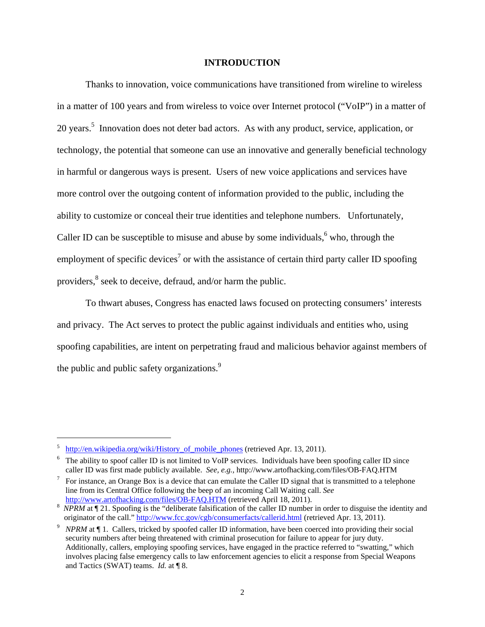#### **INTRODUCTION**

 Thanks to innovation, voice communications have transitioned from wireline to wireless in a matter of 100 years and from wireless to voice over Internet protocol ("VoIP") in a matter of 20 years.<sup>5</sup> Innovation does not deter bad actors. As with any product, service, application, or technology, the potential that someone can use an innovative and generally beneficial technology in harmful or dangerous ways is present. Users of new voice applications and services have more control over the outgoing content of information provided to the public, including the ability to customize or conceal their true identities and telephone numbers. Unfortunately, Caller ID can be susceptible to misuse and abuse by some individuals,  $6$  who, through the employment of specific devices<sup>7</sup> or with the assistance of certain third party caller ID spoofing providers,<sup>8</sup> seek to deceive, defraud, and/or harm the public.

 To thwart abuses, Congress has enacted laws focused on protecting consumers' interests and privacy. The Act serves to protect the public against individuals and entities who, using spoofing capabilities, are intent on perpetrating fraud and malicious behavior against members of the public and public safety organizations.<sup>9</sup>

<sup>5</sup> http://en.wikipedia.org/wiki/History of mobile phones (retrieved Apr. 13, 2011).

<sup>&</sup>lt;sup>6</sup> The ability to spoof caller ID is not limited to VoIP services. Individuals have been spoofing caller ID since caller ID was first made publicly available. *See, e.g.,* http://www.artofhacking.com/files/OB-FAQ.HTM 7

 $\frac{7}{10}$  For instance, an Orange Box is a device that can emulate the Caller ID signal that is transmitted to a telephone line from its Central Office following the beep of an incoming Call Waiting call. *See*  http://www.artofhacking.com/files/OB-FAQ.HTM (retrieved April 18, 2011).

<sup>&</sup>lt;sup>8</sup> NPRM at ¶ 21. Spoofing is the "deliberate falsification of the caller ID number in order to disguise the identity and originator of the call." http://www.fcc.gov/cgb/consumerfacts/callerid.html (retrieved Apr. 13, 2011).

<sup>&</sup>lt;sup>9</sup> *NPRM* at ¶ 1. Callers, tricked by spoofed caller ID information, have been coerced into providing their social security numbers after being threatened with criminal prosecution for failure to appear for jury duty. Additionally, callers, employing spoofing services, have engaged in the practice referred to "swatting," which involves placing false emergency calls to law enforcement agencies to elicit a response from Special Weapons and Tactics (SWAT) teams. *Id.* at ¶ 8.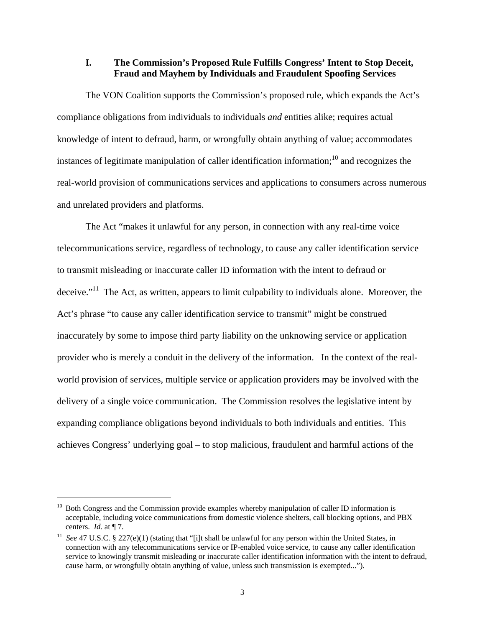#### **I. The Commission's Proposed Rule Fulfills Congress' Intent to Stop Deceit, Fraud and Mayhem by Individuals and Fraudulent Spoofing Services**

 The VON Coalition supports the Commission's proposed rule, which expands the Act's compliance obligations from individuals to individuals *and* entities alike; requires actual knowledge of intent to defraud, harm, or wrongfully obtain anything of value; accommodates instances of legitimate manipulation of caller identification information; $^{10}$  and recognizes the real-world provision of communications services and applications to consumers across numerous and unrelated providers and platforms.

 The Act "makes it unlawful for any person, in connection with any real-time voice telecommunications service, regardless of technology, to cause any caller identification service to transmit misleading or inaccurate caller ID information with the intent to defraud or deceive."11 The Act, as written, appears to limit culpability to individuals alone. Moreover, the Act's phrase "to cause any caller identification service to transmit" might be construed inaccurately by some to impose third party liability on the unknowing service or application provider who is merely a conduit in the delivery of the information. In the context of the realworld provision of services, multiple service or application providers may be involved with the delivery of a single voice communication. The Commission resolves the legislative intent by expanding compliance obligations beyond individuals to both individuals and entities. This achieves Congress' underlying goal – to stop malicious, fraudulent and harmful actions of the

<u>.</u>

 $10$  Both Congress and the Commission provide examples whereby manipulation of caller ID information is acceptable, including voice communications from domestic violence shelters, call blocking options, and PBX centers. *Id.* at ¶ 7.<br><sup>11</sup> *See* 47 U.S.C. § 227(e)(1) (stating that "[i]t shall be unlawful for any person within the United States, in

connection with any telecommunications service or IP-enabled voice service, to cause any caller identification service to knowingly transmit misleading or inaccurate caller identification information with the intent to defraud, cause harm, or wrongfully obtain anything of value, unless such transmission is exempted...").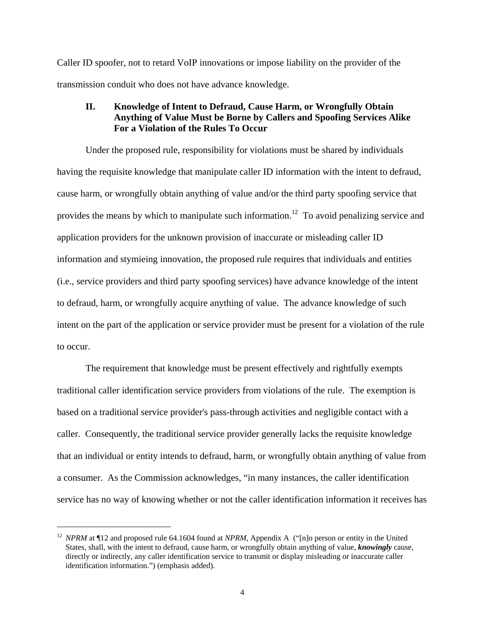Caller ID spoofer, not to retard VoIP innovations or impose liability on the provider of the transmission conduit who does not have advance knowledge.

## **II. Knowledge of Intent to Defraud, Cause Harm, or Wrongfully Obtain Anything of Value Must be Borne by Callers and Spoofing Services Alike For a Violation of the Rules To Occur**

 Under the proposed rule, responsibility for violations must be shared by individuals having the requisite knowledge that manipulate caller ID information with the intent to defraud, cause harm, or wrongfully obtain anything of value and/or the third party spoofing service that provides the means by which to manipulate such information.<sup>12</sup> To avoid penalizing service and application providers for the unknown provision of inaccurate or misleading caller ID information and stymieing innovation, the proposed rule requires that individuals and entities (i.e., service providers and third party spoofing services) have advance knowledge of the intent to defraud, harm, or wrongfully acquire anything of value. The advance knowledge of such intent on the part of the application or service provider must be present for a violation of the rule to occur.

 The requirement that knowledge must be present effectively and rightfully exempts traditional caller identification service providers from violations of the rule. The exemption is based on a traditional service provider's pass-through activities and negligible contact with a caller. Consequently, the traditional service provider generally lacks the requisite knowledge that an individual or entity intends to defraud, harm, or wrongfully obtain anything of value from a consumer. As the Commission acknowledges, "in many instances, the caller identification service has no way of knowing whether or not the caller identification information it receives has

<u>.</u>

<sup>&</sup>lt;sup>12</sup> *NPRM* at ¶12 and proposed rule 64.1604 found at *NPRM*, Appendix A ("[n]o person or entity in the United States, shall, with the intent to defraud, cause harm, or wrongfully obtain anything of value, *knowingly* cause, directly or indirectly, any caller identification service to transmit or display misleading or inaccurate caller identification information.") (emphasis added).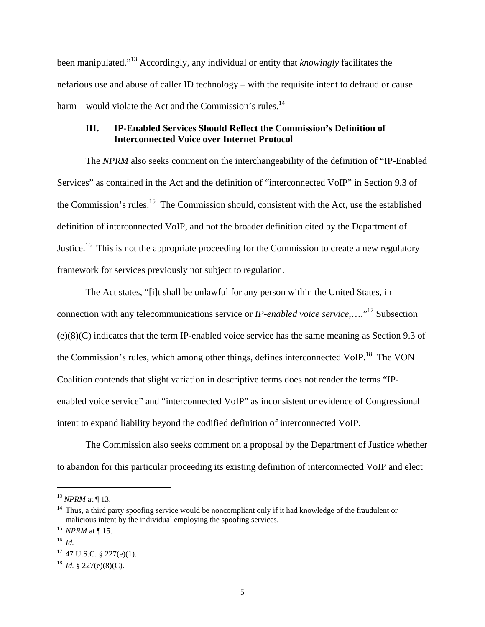been manipulated."13 Accordingly, any individual or entity that *knowingly* facilitates the nefarious use and abuse of caller ID technology – with the requisite intent to defraud or cause harm – would violate the Act and the Commission's rules.<sup>14</sup>

# **III. IP-Enabled Services Should Reflect the Commission's Definition of Interconnected Voice over Internet Protocol**

 The *NPRM* also seeks comment on the interchangeability of the definition of "IP-Enabled Services" as contained in the Act and the definition of "interconnected VoIP" in Section 9.3 of the Commission's rules.<sup>15</sup> The Commission should, consistent with the Act, use the established definition of interconnected VoIP, and not the broader definition cited by the Department of Justice.<sup>16</sup> This is not the appropriate proceeding for the Commission to create a new regulatory framework for services previously not subject to regulation.

 The Act states, "[i]t shall be unlawful for any person within the United States, in connection with any telecommunications service or *IP-enabled voice service*,....<sup>"17</sup> Subsection (e)(8)(C) indicates that the term IP-enabled voice service has the same meaning as Section 9.3 of the Commission's rules, which among other things, defines interconnected VoIP.<sup>18</sup> The VON Coalition contends that slight variation in descriptive terms does not render the terms "IPenabled voice service" and "interconnected VoIP" as inconsistent or evidence of Congressional intent to expand liability beyond the codified definition of interconnected VoIP.

 The Commission also seeks comment on a proposal by the Department of Justice whether to abandon for this particular proceeding its existing definition of interconnected VoIP and elect

<sup>&</sup>lt;sup>13</sup> NPRM at ¶ 13.<br><sup>14</sup> Thus, a third party spoofing service would be noncompliant only if it had knowledge of the fraudulent or malicious intent by the individual employing the spoofing services. 15 *NPRM* at ¶ 15.

<sup>16</sup> *Id.*

 $17$  47 U.S.C. § 227(e)(1).

<sup>&</sup>lt;sup>18</sup> *Id.* § 227(e)(8)(C).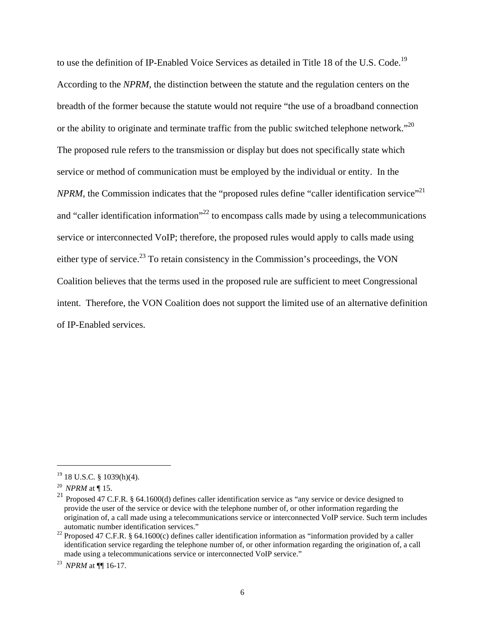to use the definition of IP-Enabled Voice Services as detailed in Title 18 of the U.S. Code.<sup>19</sup> According to the *NPRM*, the distinction between the statute and the regulation centers on the breadth of the former because the statute would not require "the use of a broadband connection or the ability to originate and terminate traffic from the public switched telephone network."<sup>20</sup> The proposed rule refers to the transmission or display but does not specifically state which service or method of communication must be employed by the individual or entity. In the *NPRM*, the Commission indicates that the "proposed rules define "caller identification service"<sup>21</sup> and "caller identification information"<sup>22</sup> to encompass calls made by using a telecommunications service or interconnected VoIP; therefore, the proposed rules would apply to calls made using either type of service.<sup>23</sup> To retain consistency in the Commission's proceedings, the VON Coalition believes that the terms used in the proposed rule are sufficient to meet Congressional intent. Therefore, the VON Coalition does not support the limited use of an alternative definition of IP-Enabled services.

 $19$  18 U.S.C. § 1039(h)(4).

<sup>20</sup> *NPRM* at ¶ 15.

<sup>21</sup> Proposed 47 C.F.R. § 64.1600(d) defines caller identification service as "any service or device designed to provide the user of the service or device with the telephone number of, or other information regarding the origination of, a call made using a telecommunications service or interconnected VoIP service. Such term includes

automatic number identification services." 22 Proposed 47 C.F.R. § 64.1600(c) defines caller identification information as "information provided by a caller identification service regarding the telephone number of, or other information regarding the origination of, a call made using a telecommunications service or interconnected VoIP service."

<sup>23</sup> *NPRM* at ¶¶ 16-17.